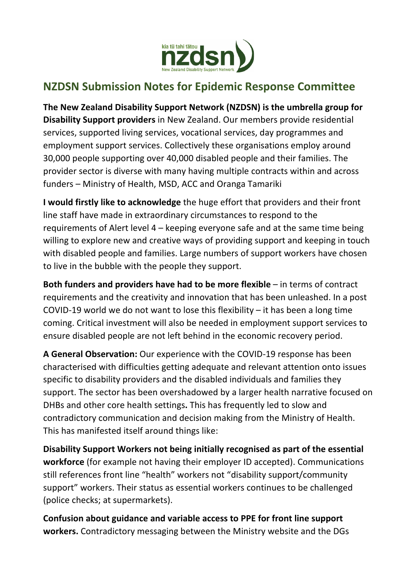

## **NZDSN Submission Notes for Epidemic Response Committee**

**The New Zealand Disability Support Network (NZDSN) is the umbrella group for Disability Support providers** in New Zealand. Our members provide residential services, supported living services, vocational services, day programmes and employment support services. Collectively these organisations employ around 30,000 people supporting over 40,000 disabled people and their families. The provider sector is diverse with many having multiple contracts within and across funders – Ministry of Health, MSD, ACC and Oranga Tamariki

**I would firstly like to acknowledge** the huge effort that providers and their front line staff have made in extraordinary circumstances to respond to the requirements of Alert level 4 – keeping everyone safe and at the same time being willing to explore new and creative ways of providing support and keeping in touch with disabled people and families. Large numbers of support workers have chosen to live in the bubble with the people they support.

**Both funders and providers have had to be more flexible** – in terms of contract requirements and the creativity and innovation that has been unleashed. In a post COVID-19 world we do not want to lose this flexibility – it has been a long time coming. Critical investment will also be needed in employment support services to ensure disabled people are not left behind in the economic recovery period.

**A General Observation:** Our experience with the COVID-19 response has been characterised with difficulties getting adequate and relevant attention onto issues specific to disability providers and the disabled individuals and families they support. The sector has been overshadowed by a larger health narrative focused on DHBs and other core health settings**.** This has frequently led to slow and contradictory communication and decision making from the Ministry of Health. This has manifested itself around things like:

**Disability Support Workers not being initially recognised as part of the essential workforce** (for example not having their employer ID accepted). Communications still references front line "health" workers not "disability support/community support" workers. Their status as essential workers continues to be challenged (police checks; at supermarkets).

**Confusion about guidance and variable access to PPE for front line support workers.** Contradictory messaging between the Ministry website and the DGs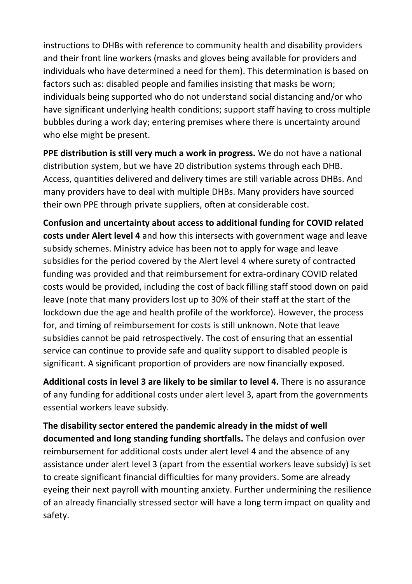instructions to DHBs with reference to community health and disability providers and their front line workers (masks and gloves being available for providers and individuals who have determined a need for them). This determination is based on factors such as: disabled people and families insisting that masks be worn; individuals being supported who do not understand social distancing and/or who have significant underlying health conditions; support staff having to cross multiple bubbles during a work day; entering premises where there is uncertainty around who else might be present.

**PPE distribution is still very much a work in progress.** We do not have a national distribution system, but we have 20 distribution systems through each DHB. Access, quantities delivered and delivery times are still variable across DHBs. And many providers have to deal with multiple DHBs. Many providers have sourced their own PPE through private suppliers, often at considerable cost.

**Confusion and uncertainty about access to additional funding for COVID related costs under Alert level 4** and how this intersects with government wage and leave subsidy schemes. Ministry advice has been not to apply for wage and leave subsidies for the period covered by the Alert level 4 where surety of contracted funding was provided and that reimbursement for extra-ordinary COVID related costs would be provided, including the cost of back filling staff stood down on paid leave (note that many providers lost up to 30% of their staff at the start of the lockdown due the age and health profile of the workforce). However, the process for, and timing of reimbursement for costs is still unknown. Note that leave subsidies cannot be paid retrospectively. The cost of ensuring that an essential service can continue to provide safe and quality support to disabled people is significant. A significant proportion of providers are now financially exposed.

**Additional costs in level 3 are likely to be similar to level 4.** There is no assurance of any funding for additional costs under alert level 3, apart from the governments essential workers leave subsidy.

**The disability sector entered the pandemic already in the midst of well documented and long standing funding shortfalls.** The delays and confusion over reimbursement for additional costs under alert level 4 and the absence of any assistance under alert level 3 (apart from the essential workers leave subsidy) is set to create significant financial difficulties for many providers. Some are already eyeing their next payroll with mounting anxiety. Further undermining the resilience of an already financially stressed sector will have a long term impact on quality and safety.